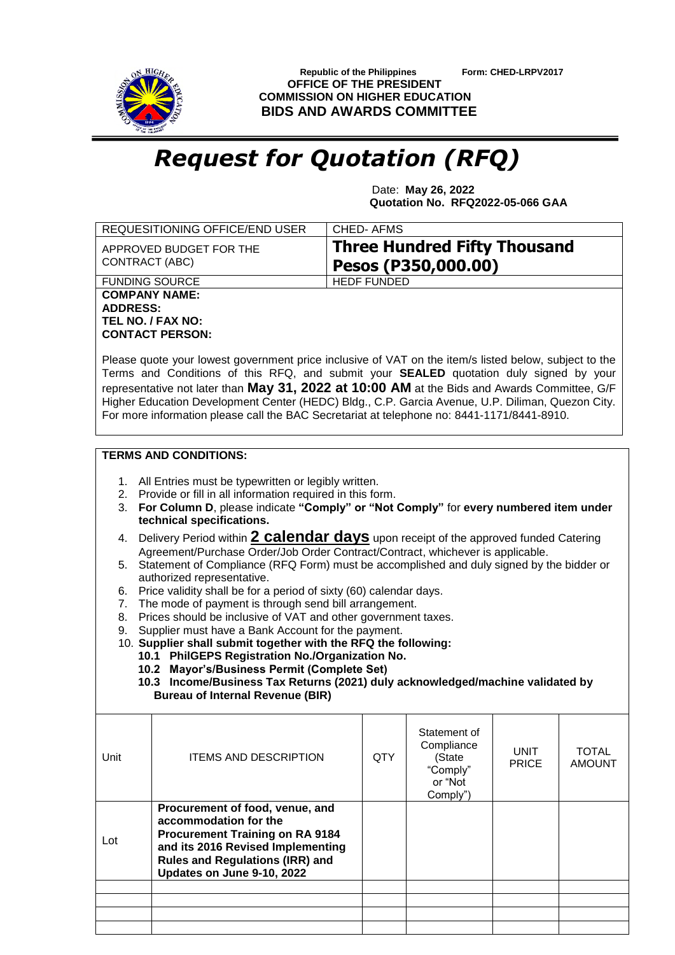

 **Republic of the Philippines Form: CHED-LRPV2017 OFFICE OF THE PRESIDENT COMMISSION ON HIGHER EDUCATION BIDS AND AWARDS COMMITTEE**

## *Request for Quotation (RFQ)*

 Date: **May 26, 2022 Quotation No. RFQ2022-05-066 GAA**

|                                                                                                                                                                                                                                                                                                                                                                                                                                                                                                                                                                                                                                                                                                                                                                                                                                                                                                                                                                                                                                                                                                                                             | REQUESITIONING OFFICE/END USER                                                                                                                                                                                  | <b>CHED-AFMS</b>   |                                                                         |                             |                               |  |  |
|---------------------------------------------------------------------------------------------------------------------------------------------------------------------------------------------------------------------------------------------------------------------------------------------------------------------------------------------------------------------------------------------------------------------------------------------------------------------------------------------------------------------------------------------------------------------------------------------------------------------------------------------------------------------------------------------------------------------------------------------------------------------------------------------------------------------------------------------------------------------------------------------------------------------------------------------------------------------------------------------------------------------------------------------------------------------------------------------------------------------------------------------|-----------------------------------------------------------------------------------------------------------------------------------------------------------------------------------------------------------------|--------------------|-------------------------------------------------------------------------|-----------------------------|-------------------------------|--|--|
|                                                                                                                                                                                                                                                                                                                                                                                                                                                                                                                                                                                                                                                                                                                                                                                                                                                                                                                                                                                                                                                                                                                                             | <b>Three Hundred Fifty Thousand</b><br>APPROVED BUDGET FOR THE<br>CONTRACT (ABC)<br>Pesos (P350,000.00)                                                                                                         |                    |                                                                         |                             |                               |  |  |
| <b>FUNDING SOURCE</b>                                                                                                                                                                                                                                                                                                                                                                                                                                                                                                                                                                                                                                                                                                                                                                                                                                                                                                                                                                                                                                                                                                                       |                                                                                                                                                                                                                 | <b>HEDF FUNDED</b> |                                                                         |                             |                               |  |  |
| <b>COMPANY NAME:</b><br><b>ADDRESS:</b><br>TEL NO. / FAX NO:<br><b>CONTACT PERSON:</b>                                                                                                                                                                                                                                                                                                                                                                                                                                                                                                                                                                                                                                                                                                                                                                                                                                                                                                                                                                                                                                                      |                                                                                                                                                                                                                 |                    |                                                                         |                             |                               |  |  |
| Please quote your lowest government price inclusive of VAT on the item/s listed below, subject to the<br>Terms and Conditions of this RFQ, and submit your <b>SEALED</b> quotation duly signed by your<br>representative not later than May 31, 2022 at 10:00 AM at the Bids and Awards Committee, G/F<br>Higher Education Development Center (HEDC) Bldg., C.P. Garcia Avenue, U.P. Diliman, Quezon City.<br>For more information please call the BAC Secretariat at telephone no: 8441-1171/8441-8910.                                                                                                                                                                                                                                                                                                                                                                                                                                                                                                                                                                                                                                    |                                                                                                                                                                                                                 |                    |                                                                         |                             |                               |  |  |
| <b>TERMS AND CONDITIONS:</b>                                                                                                                                                                                                                                                                                                                                                                                                                                                                                                                                                                                                                                                                                                                                                                                                                                                                                                                                                                                                                                                                                                                |                                                                                                                                                                                                                 |                    |                                                                         |                             |                               |  |  |
| 1. All Entries must be typewritten or legibly written.<br>2. Provide or fill in all information required in this form.<br>For Column D, please indicate "Comply" or "Not Comply" for every numbered item under<br>3.<br>technical specifications.<br>Delivery Period within 2 calendar days upon receipt of the approved funded Catering<br>4.<br>Agreement/Purchase Order/Job Order Contract/Contract, whichever is applicable.<br>5. Statement of Compliance (RFQ Form) must be accomplished and duly signed by the bidder or<br>authorized representative.<br>Price validity shall be for a period of sixty (60) calendar days.<br>6.<br>The mode of payment is through send bill arrangement.<br>7.<br>Prices should be inclusive of VAT and other government taxes.<br>8.<br>Supplier must have a Bank Account for the payment.<br>9.<br>10. Supplier shall submit together with the RFQ the following:<br>10.1 PhilGEPS Registration No./Organization No.<br>10.2 Mayor's/Business Permit (Complete Set)<br>10.3 Income/Business Tax Returns (2021) duly acknowledged/machine validated by<br><b>Bureau of Internal Revenue (BIR)</b> |                                                                                                                                                                                                                 |                    |                                                                         |                             |                               |  |  |
| Unit                                                                                                                                                                                                                                                                                                                                                                                                                                                                                                                                                                                                                                                                                                                                                                                                                                                                                                                                                                                                                                                                                                                                        | <b>ITEMS AND DESCRIPTION</b>                                                                                                                                                                                    | <b>QTY</b>         | Statement of<br>Compliance<br>(State<br>"Comply"<br>or "Not<br>Comply") | <b>UNIT</b><br><b>PRICE</b> | <b>TOTAL</b><br><b>AMOUNT</b> |  |  |
| Lot                                                                                                                                                                                                                                                                                                                                                                                                                                                                                                                                                                                                                                                                                                                                                                                                                                                                                                                                                                                                                                                                                                                                         | Procurement of food, venue, and<br>accommodation for the<br><b>Procurement Training on RA 9184</b><br>and its 2016 Revised Implementing<br><b>Rules and Regulations (IRR) and</b><br>Updates on June 9-10, 2022 |                    |                                                                         |                             |                               |  |  |
|                                                                                                                                                                                                                                                                                                                                                                                                                                                                                                                                                                                                                                                                                                                                                                                                                                                                                                                                                                                                                                                                                                                                             |                                                                                                                                                                                                                 |                    |                                                                         |                             |                               |  |  |
|                                                                                                                                                                                                                                                                                                                                                                                                                                                                                                                                                                                                                                                                                                                                                                                                                                                                                                                                                                                                                                                                                                                                             |                                                                                                                                                                                                                 |                    |                                                                         |                             |                               |  |  |
|                                                                                                                                                                                                                                                                                                                                                                                                                                                                                                                                                                                                                                                                                                                                                                                                                                                                                                                                                                                                                                                                                                                                             |                                                                                                                                                                                                                 |                    |                                                                         |                             |                               |  |  |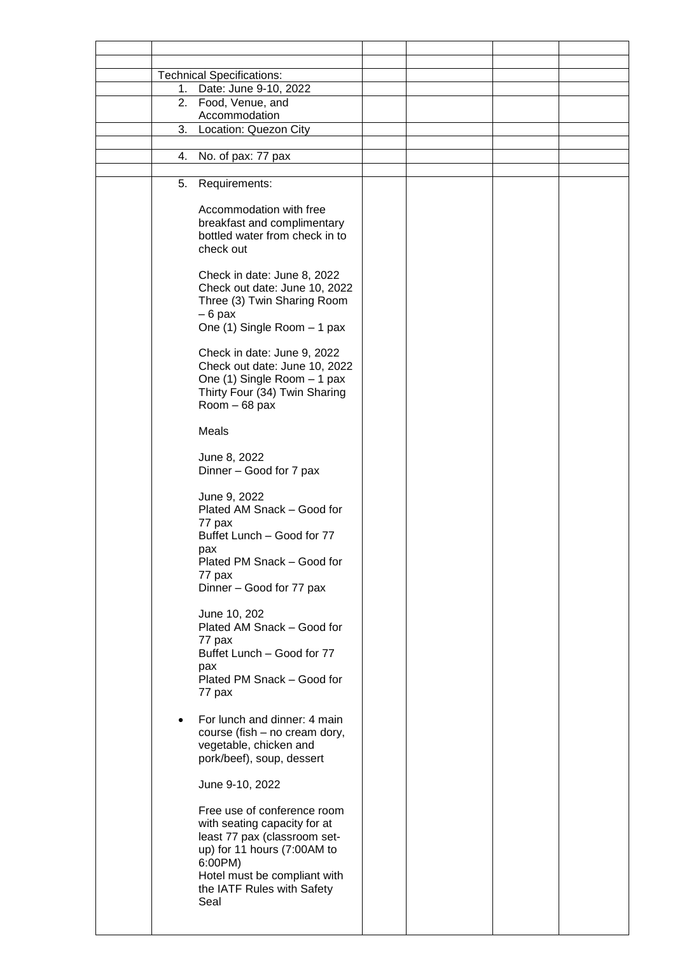|           | <b>Technical Specifications:</b>                              |  |  |
|-----------|---------------------------------------------------------------|--|--|
|           | 1. Date: June 9-10, 2022                                      |  |  |
|           | 2. Food, Venue, and                                           |  |  |
|           | Accommodation                                                 |  |  |
| 3.        | Location: Quezon City                                         |  |  |
|           |                                                               |  |  |
| 4.        | No. of pax: 77 pax                                            |  |  |
|           |                                                               |  |  |
| 5.        | Requirements:                                                 |  |  |
|           |                                                               |  |  |
|           | Accommodation with free                                       |  |  |
|           | breakfast and complimentary<br>bottled water from check in to |  |  |
|           | check out                                                     |  |  |
|           |                                                               |  |  |
|           | Check in date: June 8, 2022                                   |  |  |
|           | Check out date: June 10, 2022                                 |  |  |
|           | Three (3) Twin Sharing Room                                   |  |  |
|           | $-6$ pax                                                      |  |  |
|           | One (1) Single Room - 1 pax                                   |  |  |
|           |                                                               |  |  |
|           | Check in date: June 9, 2022                                   |  |  |
|           | Check out date: June 10, 2022                                 |  |  |
|           | One (1) Single Room - 1 pax                                   |  |  |
|           | Thirty Four (34) Twin Sharing                                 |  |  |
|           | Room - 68 pax                                                 |  |  |
|           | <b>Meals</b>                                                  |  |  |
|           |                                                               |  |  |
|           | June 8, 2022                                                  |  |  |
|           | Dinner - Good for 7 pax                                       |  |  |
|           |                                                               |  |  |
|           | June 9, 2022                                                  |  |  |
|           | Plated AM Snack - Good for                                    |  |  |
|           | 77 pax                                                        |  |  |
|           | Buffet Lunch - Good for 77                                    |  |  |
|           | pax                                                           |  |  |
|           | Plated PM Snack - Good for                                    |  |  |
|           | 77 pax                                                        |  |  |
|           | Dinner - Good for 77 pax                                      |  |  |
|           | June 10, 202                                                  |  |  |
|           | Plated AM Snack - Good for                                    |  |  |
|           | 77 pax                                                        |  |  |
|           | Buffet Lunch - Good for 77                                    |  |  |
|           | pax                                                           |  |  |
|           | Plated PM Snack - Good for                                    |  |  |
|           | 77 pax                                                        |  |  |
|           |                                                               |  |  |
| $\bullet$ | For lunch and dinner: 4 main                                  |  |  |
|           | course (fish - no cream dory,                                 |  |  |
|           | vegetable, chicken and                                        |  |  |
|           | pork/beef), soup, dessert                                     |  |  |
|           | June 9-10, 2022                                               |  |  |
|           |                                                               |  |  |
|           | Free use of conference room                                   |  |  |
|           | with seating capacity for at                                  |  |  |
|           | least 77 pax (classroom set-                                  |  |  |
|           | up) for 11 hours (7:00AM to                                   |  |  |
|           | 6:00PM)                                                       |  |  |
|           | Hotel must be compliant with                                  |  |  |
|           | the IATF Rules with Safety                                    |  |  |
|           | Seal                                                          |  |  |
|           |                                                               |  |  |
|           |                                                               |  |  |